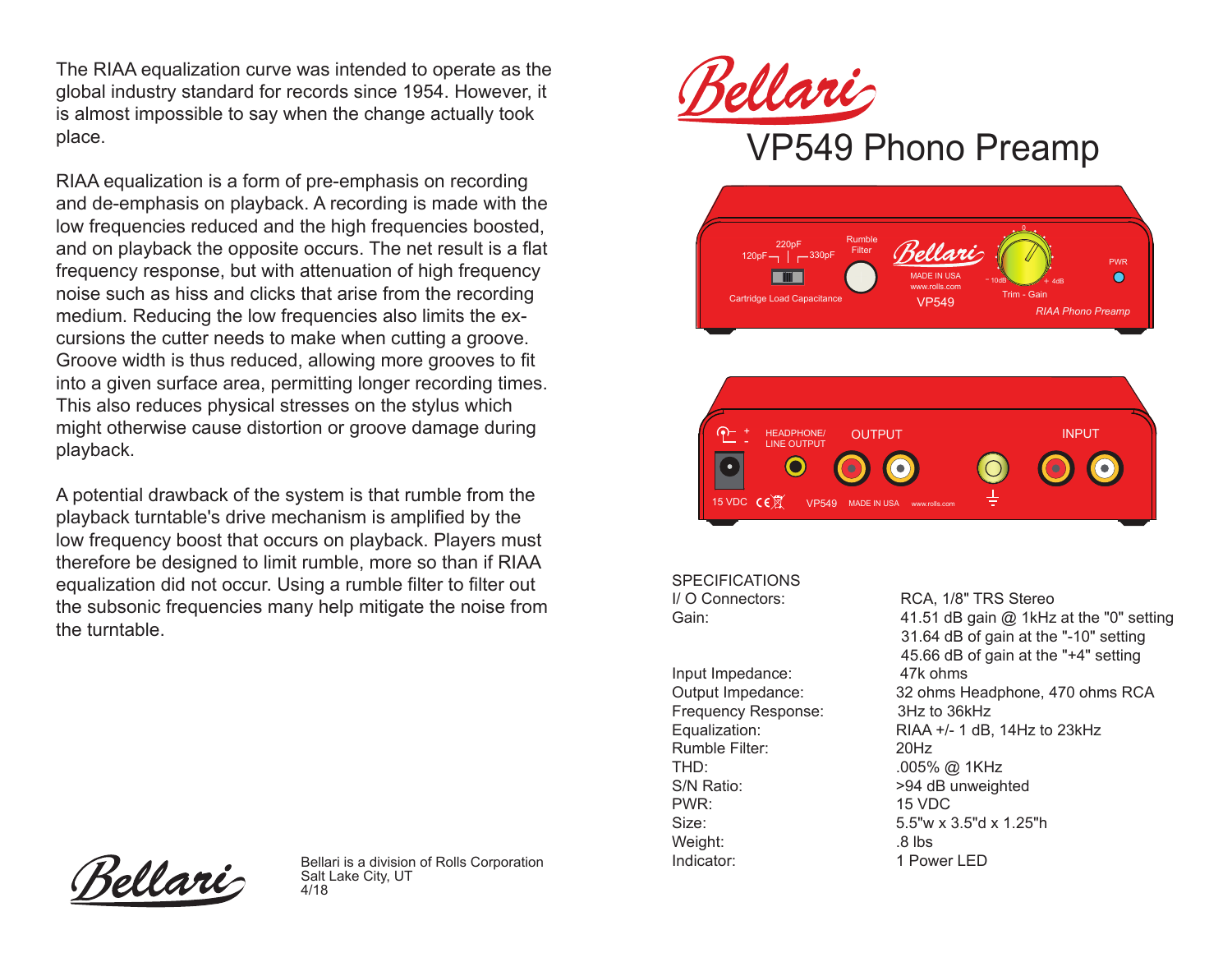The RIAA equalization curve was intended to operate as the global industry standard for records since 1954. However, it is almost impossible to say when the change actually took place.

RIAA equalization is a form of pre-emphasis on recording and de-emphasis on playback. A recording is made with the low frequencies reduced and the high frequencies boosted, and on playback the opposite occurs. The net result is a flat frequency response, but with attenuation of high frequency noise such as hiss and clicks that arise from the recording medium. Reducing the low frequencies also limits the excursions the cutter needs to make when cutting a groove. Groove width is thus reduced, allowing more grooves to fit into a given surface area, permitting longer recording times. This also reduces physical stresses on the stylus which might otherwise cause distortion or groove damage during playback.

A potential drawback of the system is that rumble from the playback turntable's drive mechanism is amplified by the low frequency boost that occurs on playback. Players must therefore be designed to limit rumble, more so than if RIAA equalization did not occur. Using a rumble filter to filter out the subsonic frequencies many help mitigate the noise from the turntable.



## VP549 Phono Preamp





SPECIFICATIONS<br>I/ O Connectors:

Input Impedance: 47k ohms Frequency Response: 3Hz to 36kHz Rumble Filter: 20Hz THD: .005% @ 1KHz S/N Ratio:  $>94$  dB unweighted PWR: 15 VDC Weight: .8 lbs

RCA, 1/8" TRS Stereo Gain: Gain: 41.51 dB gain @ 1kHz at the "0" setting 31.64 dB of gain at the "-10" setting 45.66 dB of gain at the "+4" setting Output Impedance: 32 ohms Headphone, 470 ohms RCA Equalization: RIAA +/- 1 dB, 14Hz to 23kHz Size: 5.5"w x 3.5"d x 1.25"h

Tellari

Bellari is a division of Rolls Corporation **Indicator**: 1 Power LED Salt Lake City, UT 4/18